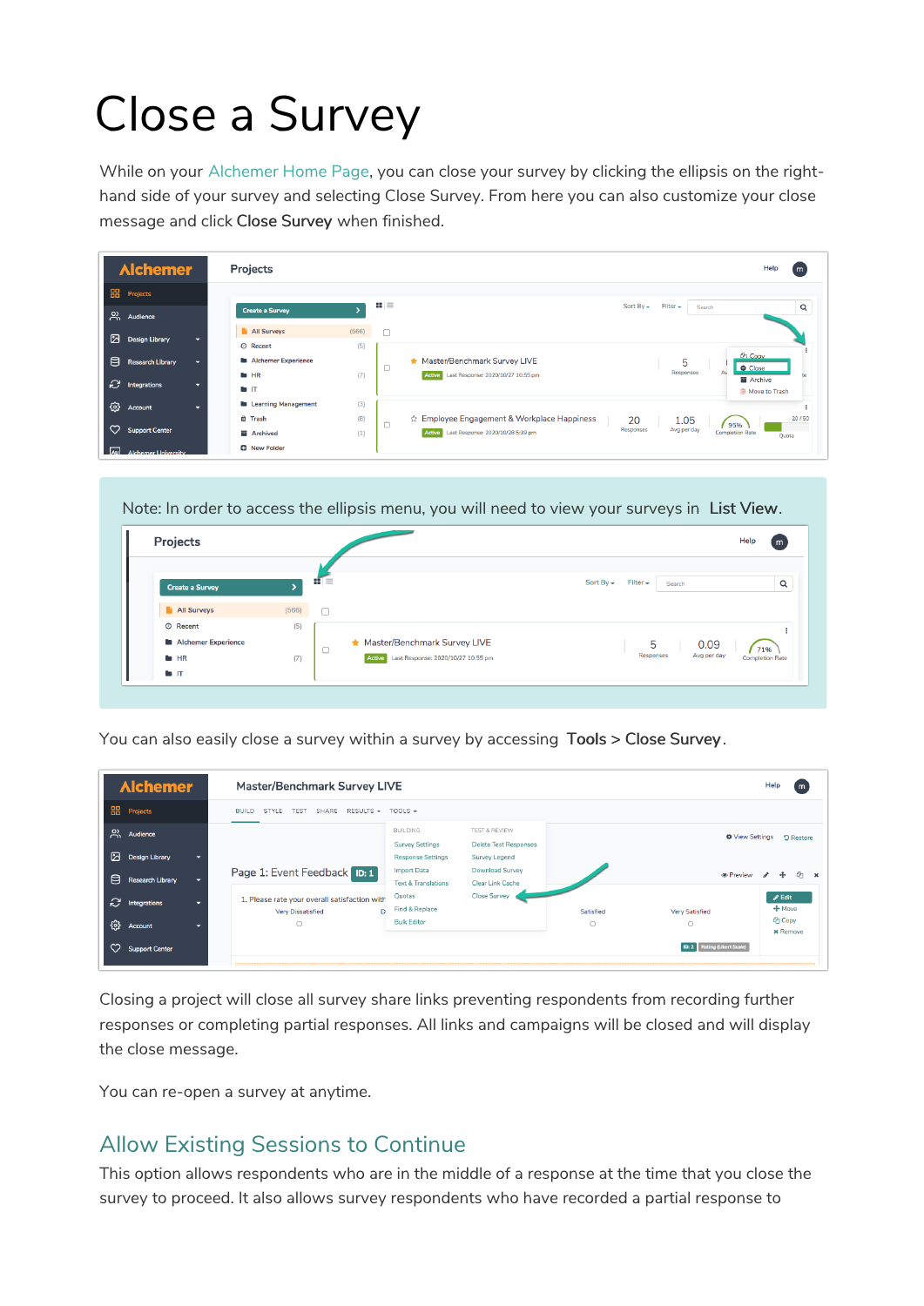# Close a Survey

While on your Alchemer Home Page, you can close your survey by clicking the ellipsis on the righthand side of your survey and selecting Close Survey. From here you can also customize your close message and click Close Survey when finished.

| <b>Alchemer</b>                          | Projects                             |       |                | Help<br>m                                                                                                     |
|------------------------------------------|--------------------------------------|-------|----------------|---------------------------------------------------------------------------------------------------------------|
| <b>HH</b> Projects                       |                                      |       | $\mathbf{u}$ = | Sort By $\sim$<br>$Filter -$                                                                                  |
| $\beta$ Audience                         | <b>Create a Survey</b>               |       |                | $\mathsf Q$<br>Search                                                                                         |
| Design Library                           | All Surveys                          | (566) | $\Box$         |                                                                                                               |
|                                          | © Recent                             | (5)   |                | <b>CPI</b> Copy                                                                                               |
| 目<br><b>Research Library</b>             | <b>Alchemer Experience</b><br>$H$ HR | (7)   | $\Box$         | Master/Benchmark Survey LIVE<br>5<br>Close<br>Responses<br>Last Response: 2020/10/27 10:55 pm<br>Active<br>te |
| $\mathbb{C}$ Integrations<br>-           | $\blacksquare$                       |       |                | Archive<br><b>自 Move to Trash</b>                                                                             |
| 發<br>Account<br>≂                        | <b>Learning Management</b>           | (3)   |                |                                                                                                               |
|                                          | tti Trash                            | (8)   | $\Box$         | ☆ Employee Engagement & Workplace Happiness<br>20/50<br>20<br>1.05<br>95%                                     |
| $\circ$<br><b>Support Center</b>         | <b>画</b> Archived                    | (1)   |                | Avg per day<br>Responses<br><b>Completion Rate</b><br>Active Last Response: 2020/10/28 5:39 pm<br>Quota       |
| $\sqrt{a}$<br><b>Alchemer University</b> | <b>D</b> New Folder                  |       |                |                                                                                                               |

Note: In order to access the ellipsis menu, you will need to view your surveys in List View.



You can also easily close a survey within a survey by accessing Tools > Close Survey .

| <b>Alchemer</b>                           |   |                                                                                           | <b>Master/Benchmark Survey LIVE</b><br>Help                           |                                                                                  |                |                                                  |                                                             |  |
|-------------------------------------------|---|-------------------------------------------------------------------------------------------|-----------------------------------------------------------------------|----------------------------------------------------------------------------------|----------------|--------------------------------------------------|-------------------------------------------------------------|--|
| <b>HH</b> Projects                        |   | SHARE RESULTS - TOOLS -<br>TEST<br><b>BUILD</b><br>STYLE                                  |                                                                       |                                                                                  |                |                                                  |                                                             |  |
| $\beta$ Audience<br>⊠<br>Design Library   |   |                                                                                           | <b>BUILDING</b><br><b>Survey Settings</b><br><b>Response Settings</b> | <b>TEST &amp; REVIEW</b><br><b>Delete Test Responses</b><br><b>Survey Legend</b> |                |                                                  | <b><math>\Phi</math></b> View Settings<br><b>D</b> Restore  |  |
| 目<br>Research Library                     | - | Page 1: Event Feedback ID: 1                                                              | <b>Import Data</b><br><b>Text &amp; Translations</b>                  | <b>Download Survey</b><br>Clear Link Cache                                       |                | <b>®</b> Preview<br>Ch.<br>$\boldsymbol{\times}$ |                                                             |  |
| <sup>2</sup> Integrations<br>හ<br>Account |   | 1. Please rate your overall satisfaction with<br>D<br><b>Very Dissatisfied</b><br>$\circ$ | Ouotas<br>Find & Replace<br><b>Bulk Editor</b>                        | <b>Close Survey</b>                                                              | Satisfied<br>O | <b>Very Satisfied</b><br>O                       | $\blacktriangleright$ Edit<br>$+$ Move<br><sup>2</sup> Copy |  |
| <b>Support Center</b>                     |   |                                                                                           |                                                                       |                                                                                  |                | <b>ID: 2</b> Rating (Likert Scale)               | <b>x</b> Remove                                             |  |

Closing a project will close all survey share links preventing respondents from recording further responses or completing partial responses. All links and campaigns will be closed and will display the close message.

You can re-open a survey at anytime.

#### Allow Existing Sessions to Continue

This option allows respondents who are in the middle of a response at the time that you close the survey to proceed. It also allows survey respondents who have recorded a partial response to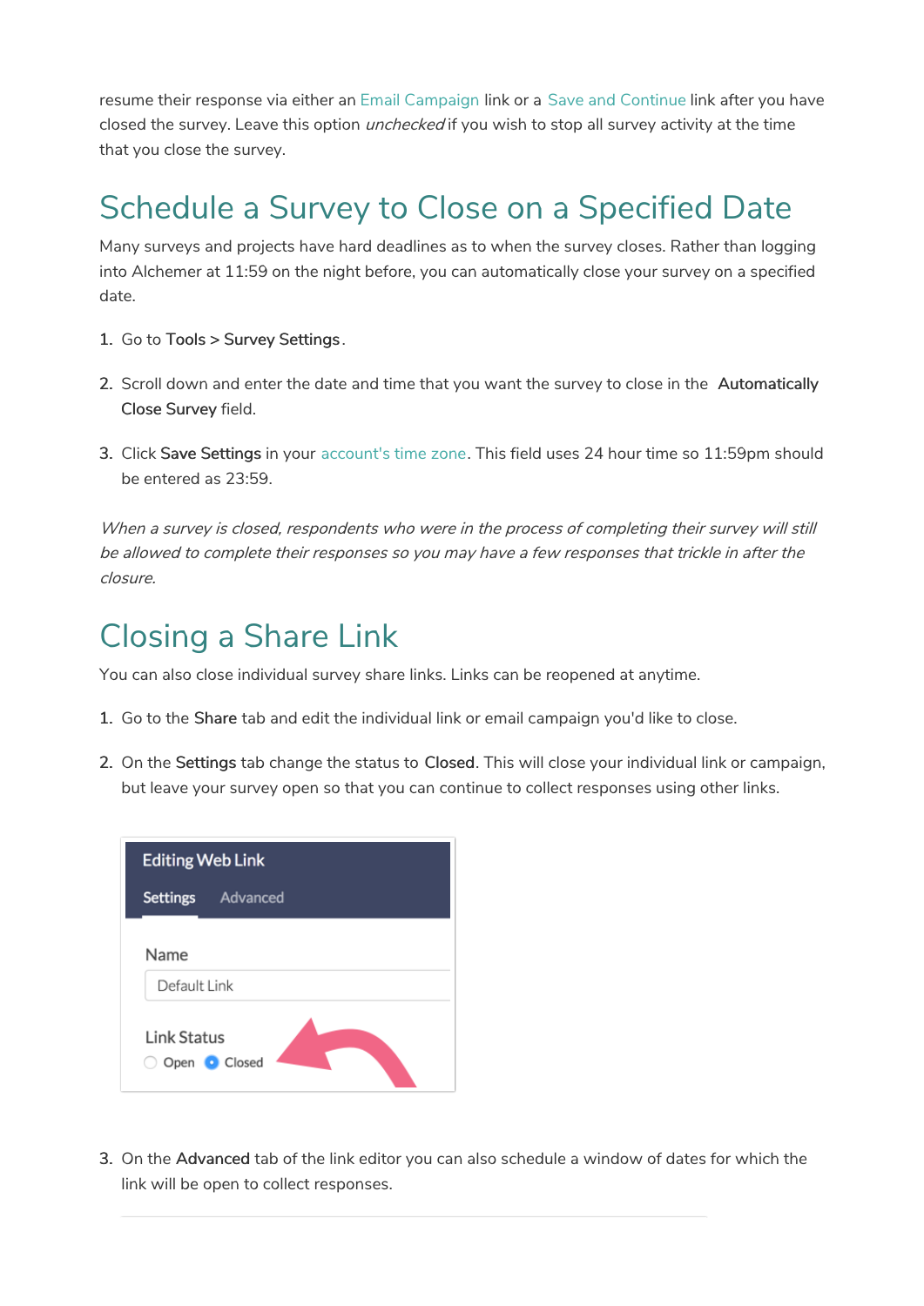resume their response via either an Email Campaign link or a Save and Continue link after you have closed the survey. Leave this option *unchecked* if you wish to stop all survey activity at the time that you close the survey.

### Schedule a Survey to Close on a Specified Date

Many surveys and projects have hard deadlines as to when the survey closes. Rather than logging into Alchemer at 11:59 on the night before, you can automatically close your survey on a specified date.

- 1. Go to Tools > Survey Settings .
- 2. Scroll down and enter the date and time that you want the survey to close in the Automatically Close Survey field.
- 3. Click Save Settings in your account's time zone. This field uses 24 hour time so 11:59pm should be entered as 23:59.

When a survey is closed, respondents who were in the process of completing their survey will still be allowed to complete their responses so you may have <sup>a</sup> few responses that trickle in after the closure.

#### Closing a Share Link

You can also close individual survey share links. Links can be reopened at anytime.

- 1. Go to the Share tab and edit the individual link or email campaign you'd like to close.
- 2. On the Settings tab change the status to Closed. This will close your individual link or campaign, but leave your survey open so that you can continue to collect responses using other links.



3. On the Advanced tab of the link editor you can also schedule a window of dates for which the link will be open to collect responses.